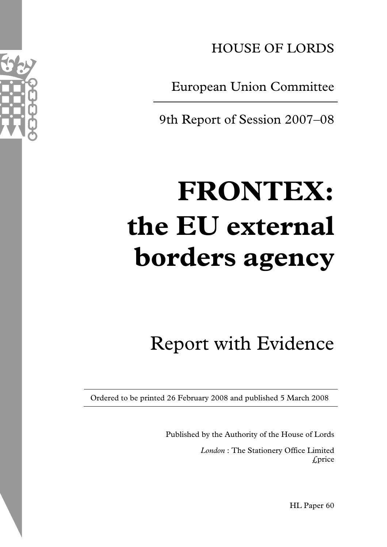

European Union Committee

9th Report of Session 2007–08

# **FRONTEX: the EU external borders agency**

Report with Evidence

Ordered to be printed 26 February 2008 and published 5 March 2008

Published by the Authority of the House of Lords *London* : The Stationery Office Limited £price

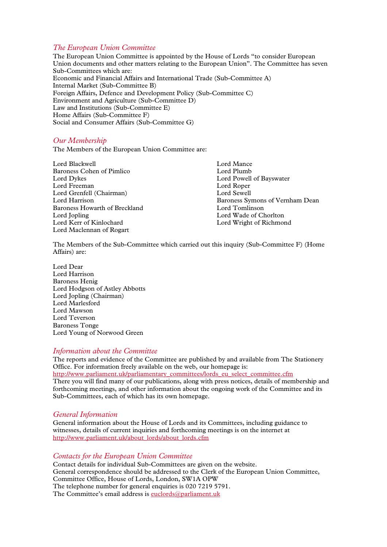#### *The European Union Committee*

The European Union Committee is appointed by the House of Lords "to consider European Union documents and other matters relating to the European Union". The Committee has seven Sub-Committees which are: Economic and Financial Affairs and International Trade (Sub-Committee A) Internal Market (Sub-Committee B) Foreign Affairs, Defence and Development Policy (Sub-Committee C) Environment and Agriculture (Sub-Committee D) Law and Institutions (Sub-Committee E) Home Affairs (Sub-Committee F) Social and Consumer Affairs (Sub-Committee G)

#### *Our Membership*

The Members of the European Union Committee are:

| Lord Mance                      |
|---------------------------------|
| Lord Plumb                      |
| Lord Powell of Bayswater        |
| Lord Roper                      |
| Lord Sewell                     |
| Baroness Symons of Vernham Dean |
| Lord Tomlinson                  |
| Lord Wade of Chorlton           |
| Lord Wright of Richmond         |
|                                 |
|                                 |

The Members of the Sub-Committee which carried out this inquiry (Sub-Committee F) (Home Affairs) are:

Lord Dear Lord Harrison Baroness Henig Lord Hodgson of Astley Abbotts Lord Jopling (Chairman) Lord Marlesford Lord Mawson Lord Teverson Baroness Tonge Lord Young of Norwood Green

#### *Information about the Committee*

The reports and evidence of the Committee are published by and available from The Stationery Office. For information freely available on the web, our homepage is: http://www.parliament.uk/parliamentary\_committees/lords\_eu\_select\_committee.cfm There you will find many of our publications, along with press notices, details of membership and forthcoming meetings, and other information about the ongoing work of the Committee and its Sub-Committees, each of which has its own homepage.

#### *General Information*

General information about the House of Lords and its Committees, including guidance to witnesses, details of current inquiries and forthcoming meetings is on the internet at http://www.parliament.uk/about\_lords/about\_lords.cfm

#### *Contacts for the European Union Committee*

Contact details for individual Sub-Committees are given on the website. General correspondence should be addressed to the Clerk of the European Union Committee, Committee Office, House of Lords, London, SW1A OPW The telephone number for general enquiries is 020 7219 5791. The Committee's email address is euclords@parliament.uk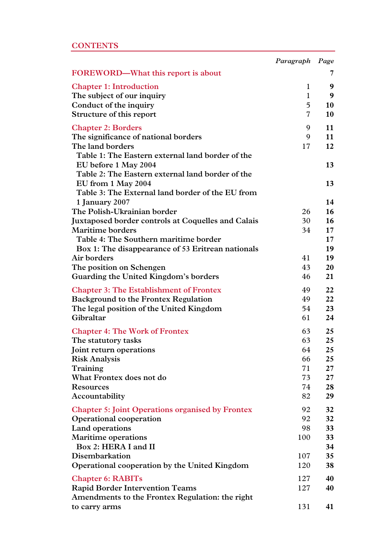|  | CONTENTS |  |
|--|----------|--|
|  |          |  |

|                                                         | Paragraph Page |          |
|---------------------------------------------------------|----------------|----------|
| FOREWORD-What this report is about                      |                | 7        |
| <b>Chapter 1: Introduction</b>                          | $\mathbf{1}$   | 9        |
| The subject of our inquiry                              | $\mathbf{1}$   | 9        |
| Conduct of the inquiry                                  | 5              | 10       |
| Structure of this report                                | 7              | 10       |
| <b>Chapter 2: Borders</b>                               | 9              | 11       |
| The significance of national borders                    | 9              | 11       |
| The land borders                                        | 17             | 12       |
| Table 1: The Eastern external land border of the        |                |          |
| EU before 1 May 2004                                    |                | 13       |
| Table 2: The Eastern external land border of the        |                |          |
| EU from 1 May 2004                                      |                | 13       |
| Table 3: The External land border of the EU from        |                |          |
| 1 January 2007                                          |                | 14       |
| The Polish-Ukrainian border                             | 26             | 16       |
| Juxtaposed border controls at Coquelles and Calais      | 30             | 16       |
| <b>Maritime borders</b>                                 | 34             | 17       |
| Table 4: The Southern maritime border                   |                | 17       |
| Box 1: The disappearance of 53 Eritrean nationals       | 41             | 19       |
| Air borders                                             | 43             | 19       |
| The position on Schengen                                |                | 20<br>21 |
| Guarding the United Kingdom's borders                   | 46             |          |
| <b>Chapter 3: The Establishment of Frontex</b>          | 49             | 22       |
| <b>Background to the Frontex Regulation</b>             | 49             | 22       |
| The legal position of the United Kingdom                | 54             | 23       |
| Gibraltar                                               | 61             | 24       |
| <b>Chapter 4: The Work of Frontex</b>                   | 63             | 25       |
| The statutory tasks                                     | 63             | 25       |
| Joint return operations                                 | 64             | 25       |
| <b>Risk Analysis</b>                                    | 66             | 25       |
| Training                                                | 71             | 27       |
| What Frontex does not do                                | 73             | 27       |
| <b>Resources</b>                                        | 74             | 28       |
| Accountability                                          | 82             | 29       |
| <b>Chapter 5: Joint Operations organised by Frontex</b> | 92             | 32       |
| Operational cooperation                                 | 92             | 32       |
| Land operations                                         | 98             | 33       |
| <b>Maritime operations</b>                              | 100            | 33       |
| Box 2: HERA I and II                                    |                | 34       |
| Disembarkation                                          | 107            | 35       |
| Operational cooperation by the United Kingdom           | 120            | 38       |
| <b>Chapter 6: RABITs</b>                                | 127            | 40       |
| <b>Rapid Border Intervention Teams</b>                  | 127            | 40       |
| Amendments to the Frontex Regulation: the right         |                |          |
| to carry arms                                           | 131            | 41       |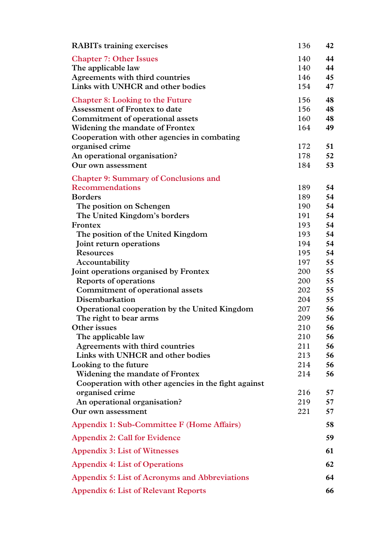| <b>RABITs training exercises</b>                      | 136        | 42       |
|-------------------------------------------------------|------------|----------|
| <b>Chapter 7: Other Issues</b>                        | 140        | 44       |
| The applicable law                                    | 140        | 44       |
| Agreements with third countries                       | 146        | 45       |
| Links with UNHCR and other bodies                     | 154        | 47       |
| <b>Chapter 8: Looking to the Future</b>               | 156        | 48       |
| <b>Assessment of Frontex to date</b>                  | 156        | 48       |
| Commitment of operational assets                      | 160        | 48       |
| Widening the mandate of Frontex                       | 164        | 49       |
| Cooperation with other agencies in combating          |            |          |
| organised crime                                       | 172        | 51       |
| An operational organisation?                          | 178        | 52       |
| Our own assessment                                    | 184        | 53       |
| <b>Chapter 9: Summary of Conclusions and</b>          |            |          |
| <b>Recommendations</b>                                | 189        | 54       |
| <b>Borders</b>                                        | 189        | 54       |
| The position on Schengen                              | 190        | 54       |
| The United Kingdom's borders                          | 191        | 54       |
| Frontex                                               | 193        | 54       |
| The position of the United Kingdom                    | 193        | 54       |
| Joint return operations                               | 194        | 54       |
| <b>Resources</b>                                      | 195        | 54       |
| Accountability                                        | 197        | 55       |
| Joint operations organised by Frontex                 | 200        | 55       |
| <b>Reports of operations</b>                          | 200        | 55       |
| Commitment of operational assets                      | 202        | 55       |
| Disembarkation                                        | 204        | 55       |
| Operational cooperation by the United Kingdom         | 207        | 56       |
| The right to bear arms<br>Other issues                | 209        | 56       |
|                                                       | 210        | 56       |
| The applicable law<br>Agreements with third countries | 210<br>211 | 56<br>56 |
| Links with UNHCR and other bodies                     | 213        | 56       |
| Looking to the future                                 | 214        | 56       |
| Widening the mandate of Frontex                       | 214        | 56       |
| Cooperation with other agencies in the fight against  |            |          |
| organised crime                                       | 216        | 57       |
| An operational organisation?                          | 219        | 57       |
| Our own assessment                                    | 221        | 57       |
| Appendix 1: Sub-Committee F (Home Affairs)            |            | 58       |
| <b>Appendix 2: Call for Evidence</b>                  |            | 59       |
| <b>Appendix 3: List of Witnesses</b>                  |            | 61       |
| <b>Appendix 4: List of Operations</b>                 |            | 62       |
| Appendix 5: List of Acronyms and Abbreviations        |            | 64       |
| <b>Appendix 6: List of Relevant Reports</b>           |            | 66       |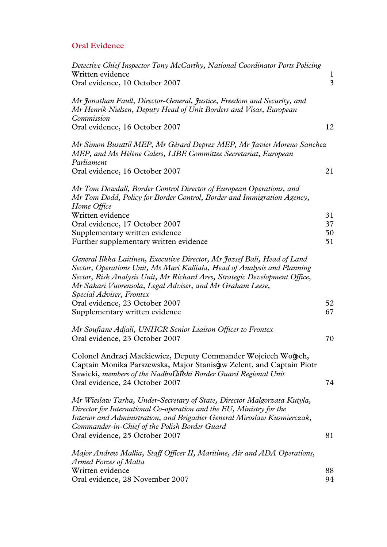# **Oral Evidence**

| Detective Chief Inspector Tony McCarthy, National Coordinator Ports Policing                                                                                                                                                                                                                                   |                            |
|----------------------------------------------------------------------------------------------------------------------------------------------------------------------------------------------------------------------------------------------------------------------------------------------------------------|----------------------------|
| Written evidence<br>Oral evidence, 10 October 2007                                                                                                                                                                                                                                                             | $\bf{l}$<br>$\overline{3}$ |
| Mr Jonathan Faull, Director-General, Justice, Freedom and Security, and<br>Mr Henrik Nielsen, Deputy Head of Unit Borders and Visas, European<br>Commission                                                                                                                                                    |                            |
| Oral evidence, 16 October 2007                                                                                                                                                                                                                                                                                 | 12                         |
| Mr Simon Busuttil MEP, Mr Gérard Deprez MEP, Mr Javier Moreno Sanchez<br>MEP, and Ms Hélène Calers, LIBE Committee Secretariat, European<br>Parliament                                                                                                                                                         |                            |
| Oral evidence, 16 October 2007                                                                                                                                                                                                                                                                                 | 21                         |
| Mr Tom Dowdall, Border Control Director of European Operations, and<br>Mr Tom Dodd, Policy for Border Control, Border and Immigration Agency,<br>Home Office                                                                                                                                                   |                            |
| Written evidence                                                                                                                                                                                                                                                                                               | 31                         |
| Oral evidence, 17 October 2007                                                                                                                                                                                                                                                                                 | 37                         |
| Supplementary written evidence<br>Further supplementary written evidence                                                                                                                                                                                                                                       | 50<br>51                   |
|                                                                                                                                                                                                                                                                                                                |                            |
| General Ilkka Laitinen, Executive Director, Mr Jozsef Bali, Head of Land<br>Sector, Operations Unit, Ms Mari Kalliala, Head of Analysis and Planning<br>Sector, Risk Analysis Unit, Mr Richard Ares, Strategic Development Office,<br>Mr Sakari Vuorensola, Legal Adviser, and Mr Graham Leese,                |                            |
| Special Adviser, Frontex<br>Oral evidence, 23 October 2007                                                                                                                                                                                                                                                     | 52                         |
| Supplementary written evidence                                                                                                                                                                                                                                                                                 | 67                         |
|                                                                                                                                                                                                                                                                                                                |                            |
| Mr Soufiane Adjali, UNHCR Senior Liaison Officer to Frontex<br>Oral evidence, 23 October 2007                                                                                                                                                                                                                  | 70                         |
| Colonel Andrzej Mackiewicz, Deputy Commander Wojciech Wołoch,<br>Captain Monika Parszewska, Major Stanisław Zelent, and Captain Piotr<br>Sawicki, members of the Nadbu a ski Border Guard Regional Unit<br>Oral evidence, 24 October 2007                                                                      | 74                         |
| Mr Wieslaw Tarka, Under-Secretary of State, Director Malgorzata Kutyla,<br>Director for International Co-operation and the EU, Ministry for the<br>Interior and Administration, and Brigadier General Miroslaw Kusmierczak,<br>Commander-in-Chief of the Polish Border Guard<br>Oral evidence, 25 October 2007 | 81                         |
| Major Andrew Mallia, Staff Officer II, Maritime, Air and ADA Operations,<br>Armed Forces of Malta                                                                                                                                                                                                              |                            |
| Written evidence<br>Oral evidence, 28 November 2007                                                                                                                                                                                                                                                            | 88<br>94                   |
|                                                                                                                                                                                                                                                                                                                |                            |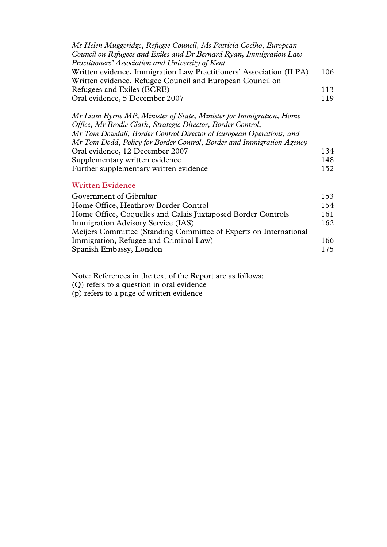| Ms Helen Muggeridge, Refugee Council, Ms Patricia Coelho, European<br>Council on Refugees and Exiles and Dr Bernard Ryan, Immigration Law<br>Practitioners' Association and University of Kent                                                                                                                                                                                                     |                   |
|----------------------------------------------------------------------------------------------------------------------------------------------------------------------------------------------------------------------------------------------------------------------------------------------------------------------------------------------------------------------------------------------------|-------------------|
| Written evidence, Immigration Law Practitioners' Association (ILPA)<br>Written evidence, Refugee Council and European Council on                                                                                                                                                                                                                                                                   | 106               |
| Refugees and Exiles (ECRE)                                                                                                                                                                                                                                                                                                                                                                         | 113               |
| Oral evidence, 5 December 2007                                                                                                                                                                                                                                                                                                                                                                     | 119               |
| Mr Liam Byrne MP, Minister of State, Minister for Immigration, Home<br>Office, Mr Brodie Clark, Strategic Director, Border Control,<br>Mr Tom Dowdall, Border Control Director of European Operations, and<br>Mr Tom Dodd, Policy for Border Control, Border and Immigration Agency<br>Oral evidence, 12 December 2007<br>Supplementary written evidence<br>Further supplementary written evidence | 134<br>148<br>152 |
| <b>Written Evidence</b>                                                                                                                                                                                                                                                                                                                                                                            |                   |
| Government of Gibraltar                                                                                                                                                                                                                                                                                                                                                                            | 153               |
| Home Office, Heathrow Border Control                                                                                                                                                                                                                                                                                                                                                               | 154               |

Home Office, Coquelles and Calais Juxtaposed Border Controls 161 **Immigration Advisory Service (IAS)** 162

Immigration, Refugee and Criminal Law) 166 Spanish Embassy, London 175

Meijers Committee (Standing Committee of Experts on International

Note: References in the text of the Report are as follows:

(Q) refers to a question in oral evidence (p) refers to a page of written evidence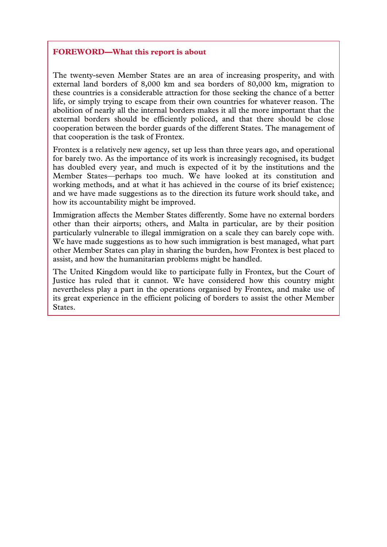#### **FOREWORD—What this report is about**

The twenty-seven Member States are an area of increasing prosperity, and with external land borders of 8,000 km and sea borders of 80,000 km, migration to these countries is a considerable attraction for those seeking the chance of a better life, or simply trying to escape from their own countries for whatever reason. The abolition of nearly all the internal borders makes it all the more important that the external borders should be efficiently policed, and that there should be close cooperation between the border guards of the different States. The management of that cooperation is the task of Frontex.

Frontex is a relatively new agency, set up less than three years ago, and operational for barely two. As the importance of its work is increasingly recognised, its budget has doubled every year, and much is expected of it by the institutions and the Member States—perhaps too much. We have looked at its constitution and working methods, and at what it has achieved in the course of its brief existence; and we have made suggestions as to the direction its future work should take, and how its accountability might be improved.

Immigration affects the Member States differently. Some have no external borders other than their airports; others, and Malta in particular, are by their position particularly vulnerable to illegal immigration on a scale they can barely cope with. We have made suggestions as to how such immigration is best managed, what part other Member States can play in sharing the burden, how Frontex is best placed to assist, and how the humanitarian problems might be handled.

The United Kingdom would like to participate fully in Frontex, but the Court of Justice has ruled that it cannot. We have considered how this country might nevertheless play a part in the operations organised by Frontex, and make use of its great experience in the efficient policing of borders to assist the other Member States.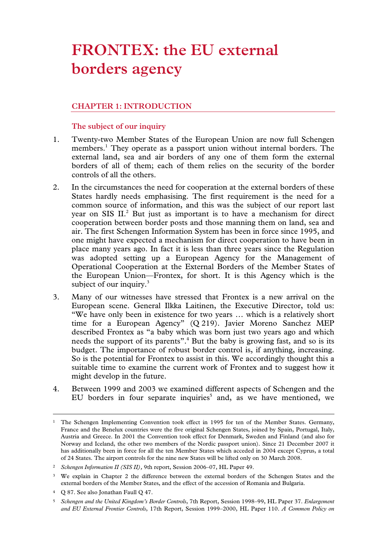# **FRONTEX: the EU external borders agency**

# **CHAPTER 1: INTRODUCTION**

# **The subject of our inquiry**

- 1. Twenty-two Member States of the European Union are now full Schengen members.<sup>1</sup> They operate as a passport union without internal borders. The external land, sea and air borders of any one of them form the external borders of all of them; each of them relies on the security of the border controls of all the others.
- 2. In the circumstances the need for cooperation at the external borders of these States hardly needs emphasising. The first requirement is the need for a common source of information, and this was the subject of our report last year on SIS  $II<sup>2</sup>$  But just as important is to have a mechanism for direct cooperation between border posts and those manning them on land, sea and air. The first Schengen Information System has been in force since 1995, and one might have expected a mechanism for direct cooperation to have been in place many years ago. In fact it is less than three years since the Regulation was adopted setting up a European Agency for the Management of Operational Cooperation at the External Borders of the Member States of the European Union—Frontex, for short. It is this Agency which is the subject of our inquiry.<sup>3</sup>
- 3. Many of our witnesses have stressed that Frontex is a new arrival on the European scene. General Ilkka Laitinen, the Executive Director, told us: "We have only been in existence for two years … which is a relatively short time for a European Agency" (Q 219). Javier Moreno Sanchez MEP described Frontex as "a baby which was born just two years ago and which needs the support of its parents".<sup>4</sup> But the baby is growing fast, and so is its budget. The importance of robust border control is, if anything, increasing. So is the potential for Frontex to assist in this. We accordingly thought this a suitable time to examine the current work of Frontex and to suggest how it might develop in the future.
- 4. Between 1999 and 2003 we examined different aspects of Schengen and the EU borders in four separate inquiries<sup>5</sup> and, as we have mentioned, we

4 Q 87. See also Jonathan Faull Q 47.

<sup>&</sup>lt;sup>1</sup> The Schengen Implementing Convention took effect in 1995 for ten of the Member States. Germany, France and the Benelux countries were the five original Schengen States, joined by Spain, Portugal, Italy, Austria and Greece. In 2001 the Convention took effect for Denmark, Sweden and Finland (and also for Norway and Iceland, the other two members of the Nordic passport union). Since 21 December 2007 it has additionally been in force for all the ten Member States which acceded in 2004 except Cyprus, a total of 24 States. The airport controls for the nine new States will be lifted only on 30 March 2008.

<sup>2</sup> *Schengen Information II (SIS II),* 9th report, Session 2006–07, HL Paper 49.

<sup>3</sup> We explain in Chapter 2 the difference between the external borders of the Schengen States and the external borders of the Member States, and the effect of the accession of Romania and Bulgaria.

<sup>5</sup> *Schengen and the United Kingdom's Border Controls*, 7th Report, Session 1998–99, HL Paper 37. *Enlargement and EU External Frontier Controls*, 17th Report, Session 1999–2000, HL Paper 110. *A Common Policy on*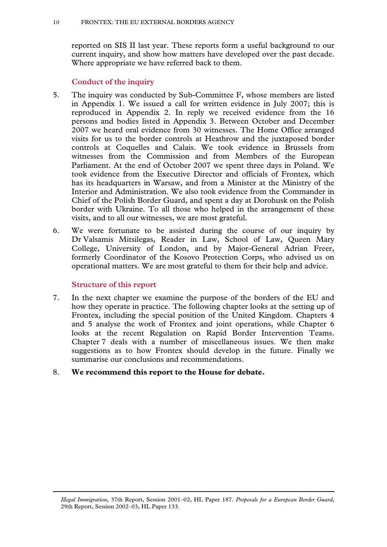reported on SIS II last year. These reports form a useful background to our current inquiry, and show how matters have developed over the past decade. Where appropriate we have referred back to them.

# **Conduct of the inquiry**

- 5. The inquiry was conducted by Sub-Committee F, whose members are listed in Appendix 1. We issued a call for written evidence in July 2007; this is reproduced in Appendix 2. In reply we received evidence from the 16 persons and bodies listed in Appendix 3. Between October and December 2007 we heard oral evidence from 30 witnesses. The Home Office arranged visits for us to the border controls at Heathrow and the juxtaposed border controls at Coquelles and Calais. We took evidence in Brussels from witnesses from the Commission and from Members of the European Parliament. At the end of October 2007 we spent three days in Poland. We took evidence from the Executive Director and officials of Frontex, which has its headquarters in Warsaw, and from a Minister at the Ministry of the Interior and Administration. We also took evidence from the Commander in Chief of the Polish Border Guard, and spent a day at Dorohusk on the Polish border with Ukraine. To all those who helped in the arrangement of these visits, and to all our witnesses, we are most grateful.
- 6. We were fortunate to be assisted during the course of our inquiry by Dr Valsamis Mitsilegas, Reader in Law, School of Law, Queen Mary College, University of London, and by Major-General Adrian Freer, formerly Coordinator of the Kosovo Protection Corps, who advised us on operational matters. We are most grateful to them for their help and advice.

# **Structure of this report**

 $\overline{a}$ 

7. In the next chapter we examine the purpose of the borders of the EU and how they operate in practice. The following chapter looks at the setting up of Frontex, including the special position of the United Kingdom. Chapters 4 and 5 analyse the work of Frontex and joint operations, while Chapter 6 looks at the recent Regulation on Rapid Border Intervention Teams. Chapter 7 deals with a number of miscellaneous issues. We then make suggestions as to how Frontex should develop in the future. Finally we summarise our conclusions and recommendations.

# 8. **We recommend this report to the House for debate.**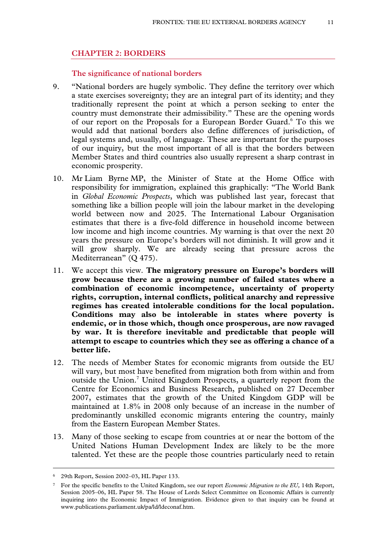#### **CHAPTER 2: BORDERS**

#### **The significance of national borders**

- 9. "National borders are hugely symbolic. They define the territory over which a state exercises sovereignty; they are an integral part of its identity; and they traditionally represent the point at which a person seeking to enter the country must demonstrate their admissibility." These are the opening words of our report on the Proposals for a European Border Guard.<sup>6</sup> To this we would add that national borders also define differences of jurisdiction, of legal systems and, usually, of language. These are important for the purposes of our inquiry, but the most important of all is that the borders between Member States and third countries also usually represent a sharp contrast in economic prosperity.
- 10. Mr Liam Byrne MP, the Minister of State at the Home Office with responsibility for immigration, explained this graphically: "The World Bank in *Global Economic Prospects*, which was published last year, forecast that something like a billion people will join the labour market in the developing world between now and 2025. The International Labour Organisation estimates that there is a five-fold difference in household income between low income and high income countries. My warning is that over the next 20 years the pressure on Europe's borders will not diminish. It will grow and it will grow sharply. We are already seeing that pressure across the Mediterranean" (Q 475).
- 11. We accept this view. **The migratory pressure on Europe's borders will grow because there are a growing number of failed states where a combination of economic incompetence, uncertainty of property rights, corruption, internal conflicts, political anarchy and repressive regimes has created intolerable conditions for the local population. Conditions may also be intolerable in states where poverty is endemic, or in those which, though once prosperous, are now ravaged by war. It is therefore inevitable and predictable that people will attempt to escape to countries which they see as offering a chance of a better life.**
- 12. The needs of Member States for economic migrants from outside the EU will vary, but most have benefited from migration both from within and from outside the Union.<sup>7</sup> United Kingdom Prospects, a quarterly report from the Centre for Economics and Business Research, published on 27 December 2007, estimates that the growth of the United Kingdom GDP will be maintained at 1.8% in 2008 only because of an increase in the number of predominantly unskilled economic migrants entering the country, mainly from the Eastern European Member States.
- 13. Many of those seeking to escape from countries at or near the bottom of the United Nations Human Development Index are likely to be the more talented. Yet these are the people those countries particularly need to retain

<sup>6 29</sup>th Report, Session 2002–03, HL Paper 133.

<sup>7</sup> For the specific benefits to the United Kingdom, see our report *Economic Migration to the EU,* 14th Report, Session 2005–06, HL Paper 58. The House of Lords Select Committee on Economic Affairs is currently inquiring into the Economic Impact of Immigration. Evidence given to that inquiry can be found at www.publications.parliament.uk/pa/ld/ldeconaf.htm.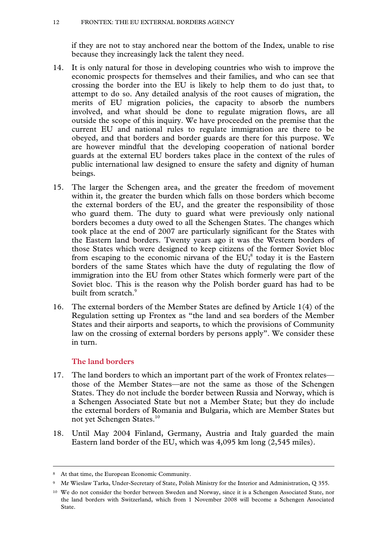if they are not to stay anchored near the bottom of the Index, unable to rise because they increasingly lack the talent they need.

- 14. It is only natural for those in developing countries who wish to improve the economic prospects for themselves and their families, and who can see that crossing the border into the EU is likely to help them to do just that, to attempt to do so. Any detailed analysis of the root causes of migration, the merits of EU migration policies, the capacity to absorb the numbers involved, and what should be done to regulate migration flows, are all outside the scope of this inquiry. We have proceeded on the premise that the current EU and national rules to regulate immigration are there to be obeyed, and that borders and border guards are there for this purpose. We are however mindful that the developing cooperation of national border guards at the external EU borders takes place in the context of the rules of public international law designed to ensure the safety and dignity of human beings.
- 15. The larger the Schengen area, and the greater the freedom of movement within it, the greater the burden which falls on those borders which become the external borders of the EU, and the greater the responsibility of those who guard them. The duty to guard what were previously only national borders becomes a duty owed to all the Schengen States. The changes which took place at the end of 2007 are particularly significant for the States with the Eastern land borders. Twenty years ago it was the Western borders of those States which were designed to keep citizens of the former Soviet bloc from escaping to the economic nirvana of the  $EU^8$  today it is the Eastern borders of the same States which have the duty of regulating the flow of immigration into the EU from other States which formerly were part of the Soviet bloc. This is the reason why the Polish border guard has had to be built from scratch.<sup>9</sup>
- 16. The external borders of the Member States are defined by Article 1(4) of the Regulation setting up Frontex as "the land and sea borders of the Member States and their airports and seaports, to which the provisions of Community law on the crossing of external borders by persons apply". We consider these in turn.

# **The land borders**

- 17. The land borders to which an important part of the work of Frontex relates those of the Member States—are not the same as those of the Schengen States. They do not include the border between Russia and Norway, which is a Schengen Associated State but not a Member State; but they do include the external borders of Romania and Bulgaria, which are Member States but not yet Schengen States.<sup>10</sup>
- 18. Until May 2004 Finland, Germany, Austria and Italy guarded the main Eastern land border of the EU, which was 4,095 km long (2,545 miles).

<sup>8</sup> At that time, the European Economic Community.

<sup>9</sup> Mr Wieslaw Tarka, Under-Secretary of State, Polish Ministry for the Interior and Administration, Q 355.

<sup>10</sup> We do not consider the border between Sweden and Norway, since it is a Schengen Associated State, nor the land borders with Switzerland, which from 1 November 2008 will become a Schengen Associated State.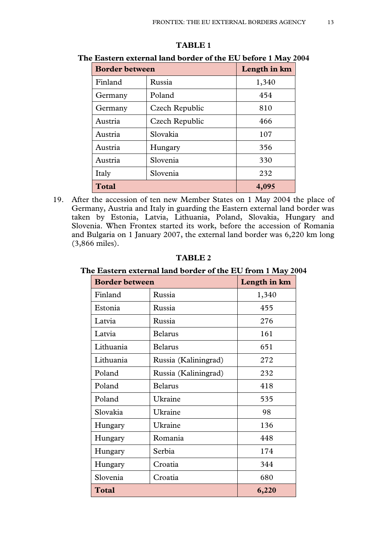| <b>Border between</b> |                | Length in km |
|-----------------------|----------------|--------------|
| Finland               | Russia         | 1,340        |
| Germany               | Poland         | 454          |
| Germany               | Czech Republic | 810          |
| Austria               | Czech Republic | 466          |
| Austria               | Slovakia       | 107          |
| Austria               | Hungary        | 356          |
| Austria               | Slovenia       | 330          |
| Italy                 | Slovenia       | 232          |
| <b>Total</b>          |                | 4,095        |

#### **TABLE 1**

**The Eastern external land border of the EU before 1 May 2004** 

19. After the accession of ten new Member States on 1 May 2004 the place of Germany, Austria and Italy in guarding the Eastern external land border was taken by Estonia, Latvia, Lithuania, Poland, Slovakia, Hungary and Slovenia. When Frontex started its work, before the accession of Romania and Bulgaria on 1 January 2007, the external land border was 6,220 km long (3,866 miles).

**TABLE 2** 

**The Eastern external land border of the EU from 1 May 2004** 

| <b>Border between</b> |                      | Length in km |
|-----------------------|----------------------|--------------|
| Finland               | Russia               | 1,340        |
| Estonia               | Russia               | 455          |
| Latvia                | Russia               | 276          |
| Latvia                | <b>Belarus</b>       | 161          |
| Lithuania             | <b>Belarus</b>       | 651          |
| Lithuania             | Russia (Kaliningrad) | 272          |
| Poland                | Russia (Kaliningrad) | 232          |
| Poland                | <b>Belarus</b>       | 418          |
| Poland                | Ukraine              | 535          |
| Slovakia              | Ukraine              | 98           |
| Hungary               | Ukraine              | 136          |
| Hungary               | Romania              | 448          |
| Hungary               | Serbia               | 174          |
| Hungary               | Croatia              | 344          |
| Slovenia              | Croatia              | 680          |
| <b>Total</b>          |                      | 6,220        |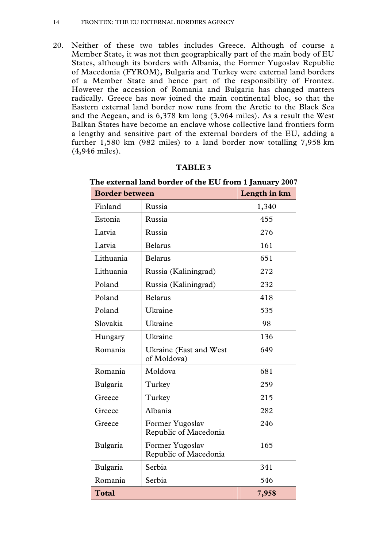20. Neither of these two tables includes Greece. Although of course a Member State, it was not then geographically part of the main body of EU States, although its borders with Albania, the Former Yugoslav Republic of Macedonia (FYROM), Bulgaria and Turkey were external land borders of a Member State and hence part of the responsibility of Frontex. However the accession of Romania and Bulgaria has changed matters radically. Greece has now joined the main continental bloc, so that the Eastern external land border now runs from the Arctic to the Black Sea and the Aegean, and is 6,378 km long (3,964 miles). As a result the West Balkan States have become an enclave whose collective land frontiers form a lengthy and sensitive part of the external borders of the EU, adding a further 1,580 km (982 miles) to a land border now totalling 7,958 km (4,946 miles).

| The external land border of the EU from 1 January 2007 |                                          |       |
|--------------------------------------------------------|------------------------------------------|-------|
| <b>Border between</b>                                  | Length in km                             |       |
| Finland                                                | Russia                                   | 1,340 |
| Estonia                                                | Russia                                   | 455   |
| Latvia                                                 | Russia                                   | 276   |
| Latvia                                                 | <b>Belarus</b>                           | 161   |
| Lithuania                                              | <b>Belarus</b>                           | 651   |
| Lithuania                                              | Russia (Kaliningrad)                     | 272   |
| Poland                                                 | Russia (Kaliningrad)                     | 232   |
| Poland                                                 | <b>Belarus</b>                           | 418   |
| Poland                                                 | Ukraine                                  | 535   |
| Slovakia                                               | Ukraine                                  | 98    |
| Hungary                                                | Ukraine                                  | 136   |
| Romania                                                | Ukraine (East and West<br>of Moldova)    | 649   |
| Romania                                                | Moldova                                  | 681   |
| Bulgaria                                               | Turkey                                   | 259   |
| Greece                                                 | Turkey                                   | 215   |
| Greece                                                 | Albania                                  | 282   |
| Greece                                                 | Former Yugoslav<br>Republic of Macedonia | 246   |
| Bulgaria                                               | Former Yugoslav<br>Republic of Macedonia | 165   |
| Bulgaria                                               | Serbia                                   | 341   |
| Romania                                                | Serbia                                   | 546   |
| <b>Total</b>                                           |                                          | 7,958 |

#### **TABLE 3**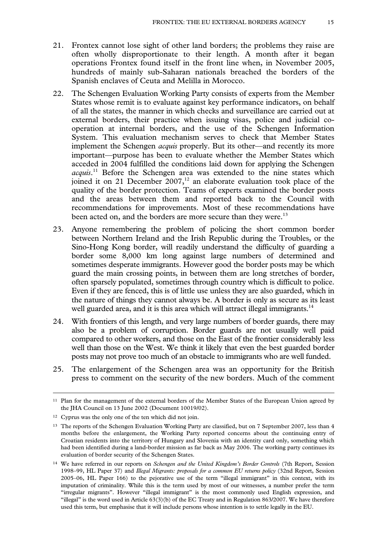- 21. Frontex cannot lose sight of other land borders; the problems they raise are often wholly disproportionate to their length. A month after it began operations Frontex found itself in the front line when, in November 2005, hundreds of mainly sub-Saharan nationals breached the borders of the Spanish enclaves of Ceuta and Melilla in Morocco.
- 22. The Schengen Evaluation Working Party consists of experts from the Member States whose remit is to evaluate against key performance indicators, on behalf of all the states, the manner in which checks and surveillance are carried out at external borders, their practice when issuing visas, police and judicial cooperation at internal borders, and the use of the Schengen Information System. This evaluation mechanism serves to check that Member States implement the Schengen *acquis* properly. But its other—and recently its more important—purpose has been to evaluate whether the Member States which acceded in 2004 fulfilled the conditions laid down for applying the Schengen acquis.<sup>11</sup> Before the Schengen area was extended to the nine states which joined it on 21 December  $2007$ ,<sup>12</sup> an elaborate evaluation took place of the quality of the border protection. Teams of experts examined the border posts and the areas between them and reported back to the Council with recommendations for improvements. Most of these recommendations have been acted on, and the borders are more secure than they were.<sup>13</sup>
- 23. Anyone remembering the problem of policing the short common border between Northern Ireland and the Irish Republic during the Troubles, or the Sino-Hong Kong border, will readily understand the difficulty of guarding a border some 8,000 km long against large numbers of determined and sometimes desperate immigrants. However good the border posts may be which guard the main crossing points, in between them are long stretches of border, often sparsely populated, sometimes through country which is difficult to police. Even if they are fenced, this is of little use unless they are also guarded, which in the nature of things they cannot always be. A border is only as secure as its least well guarded area, and it is this area which will attract illegal immigrants.<sup>14</sup>
- 24. With frontiers of this length, and very large numbers of border guards, there may also be a problem of corruption. Border guards are not usually well paid compared to other workers, and those on the East of the frontier considerably less well than those on the West. We think it likely that even the best guarded border posts may not prove too much of an obstacle to immigrants who are well funded.
- 25. The enlargement of the Schengen area was an opportunity for the British press to comment on the security of the new borders. Much of the comment

<sup>11</sup> Plan for the management of the external borders of the Member States of the European Union agreed by the JHA Council on 13 June 2002 (Document 10019/02).

<sup>12</sup> Cyprus was the only one of the ten which did not join.

<sup>13</sup> The reports of the Schengen Evaluation Working Party are classified, but on 7 September 2007, less than 4 months before the enlargement, the Working Party reported concerns about the continuing entry of Croatian residents into the territory of Hungary and Slovenia with an identity card only, something which had been identified during a land-border mission as far back as May 2006. The working party continues its evaluation of border security of the Schengen States.

<sup>14</sup> We have referred in our reports on *Schengen and the United Kingdom's Border Controls* (7th Report, Session 1998–99, HL Paper 37) and *Illegal Migrants: proposals for a common EU returns policy* (32nd Report, Session 2005–06, HL Paper 166) to the pejorative use of the term "illegal immigrant" in this context, with its imputation of criminality. While this is the term used by most of our witnesses, a number prefer the term "irregular migrants". However "illegal immigrant" is the most commonly used English expression, and "illegal" is the word used in Article 63(3)(b) of the EC Treaty and in Regulation 863/2007. We have therefore used this term, but emphasise that it will include persons whose intention is to settle legally in the EU.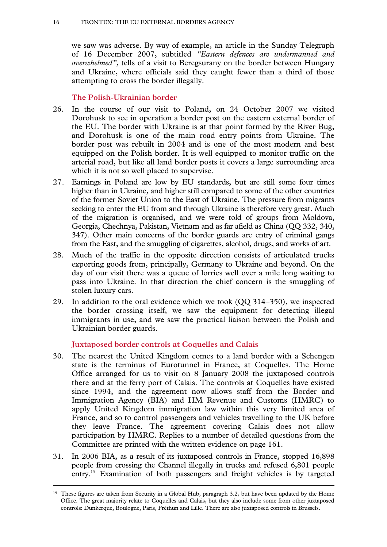we saw was adverse. By way of example, an article in the Sunday Telegraph of 16 December 2007, subtitled *"Eastern defences are undermanned and overwhelmed"*, tells of a visit to Beregsurany on the border between Hungary and Ukraine, where officials said they caught fewer than a third of those attempting to cross the border illegally.

# **The Polish-Ukrainian border**

- 26. In the course of our visit to Poland, on 24 October 2007 we visited Dorohusk to see in operation a border post on the eastern external border of the EU. The border with Ukraine is at that point formed by the River Bug, and Dorohusk is one of the main road entry points from Ukraine. The border post was rebuilt in 2004 and is one of the most modern and best equipped on the Polish border. It is well equipped to monitor traffic on the arterial road, but like all land border posts it covers a large surrounding area which it is not so well placed to supervise.
- 27. Earnings in Poland are low by EU standards, but are still some four times higher than in Ukraine, and higher still compared to some of the other countries of the former Soviet Union to the East of Ukraine. The pressure from migrants seeking to enter the EU from and through Ukraine is therefore very great. Much of the migration is organised, and we were told of groups from Moldova, Georgia, Chechnya, Pakistan, Vietnam and as far afield as China (QQ 332, 340, 347). Other main concerns of the border guards are entry of criminal gangs from the East, and the smuggling of cigarettes, alcohol, drugs, and works of art.
- 28. Much of the traffic in the opposite direction consists of articulated trucks exporting goods from, principally, Germany to Ukraine and beyond. On the day of our visit there was a queue of lorries well over a mile long waiting to pass into Ukraine. In that direction the chief concern is the smuggling of stolen luxury cars.
- 29. In addition to the oral evidence which we took (QQ 314–350), we inspected the border crossing itself, we saw the equipment for detecting illegal immigrants in use, and we saw the practical liaison between the Polish and Ukrainian border guards.

# **Juxtaposed border controls at Coquelles and Calais**

- 30. The nearest the United Kingdom comes to a land border with a Schengen state is the terminus of Eurotunnel in France, at Coquelles. The Home Office arranged for us to visit on 8 January 2008 the juxtaposed controls there and at the ferry port of Calais. The controls at Coquelles have existed since 1994, and the agreement now allows staff from the Border and Immigration Agency (BIA) and HM Revenue and Customs (HMRC) to apply United Kingdom immigration law within this very limited area of France, and so to control passengers and vehicles travelling to the UK before they leave France. The agreement covering Calais does not allow participation by HMRC. Replies to a number of detailed questions from the Committee are printed with the written evidence on page 161.
- 31. In 2006 BIA, as a result of its juxtaposed controls in France, stopped 16,898 people from crossing the Channel illegally in trucks and refused 6,801 people entry.<sup>15</sup> Examination of both passengers and freight vehicles is by targeted

<sup>&</sup>lt;sup>15</sup> These figures are taken from Security in a Global Hub, paragraph 3.2, but have been updated by the Home Office. The great majority relate to Coquelles and Calais, but they also include some from other juxtaposed controls: Dunkerque, Boulogne, Paris, Fréthun and Lille. There are also juxtaposed controls in Brussels.